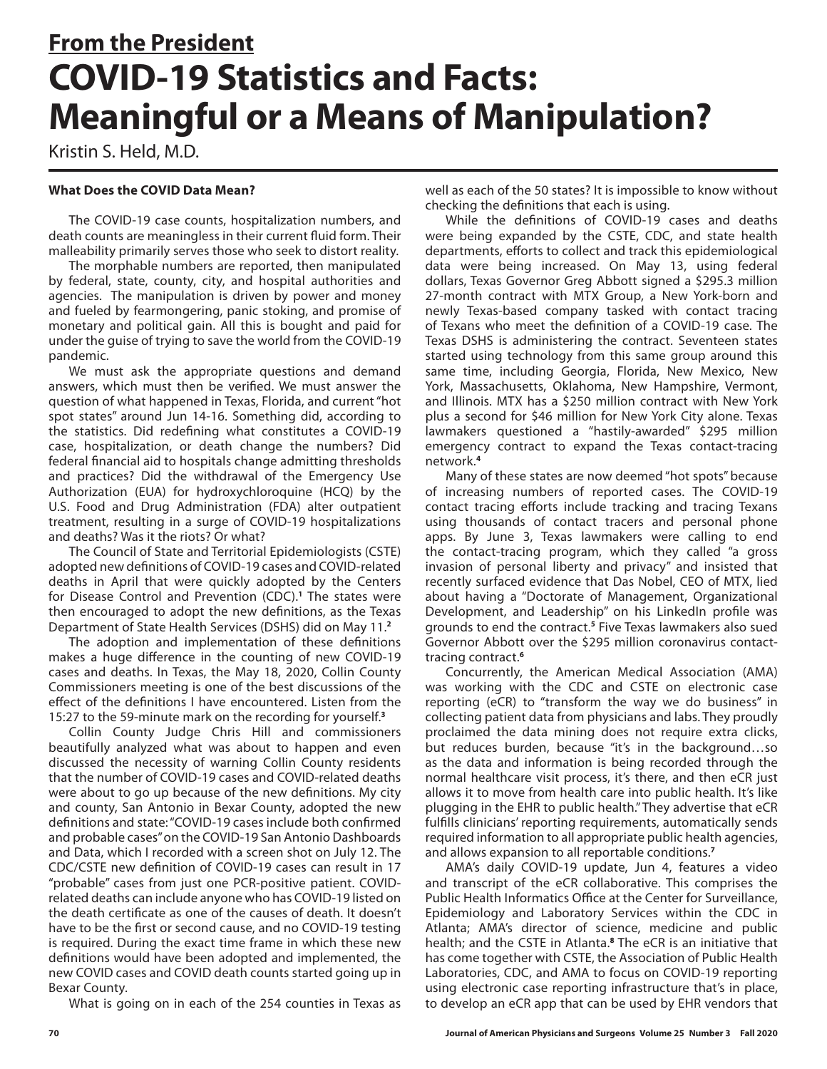# **From the President COVID-19 Statistics and Facts: Meaningful or a Means of Manipulation?**

Kristin S. Held, M.D.

## **What Does the COVID Data Mean?**

The COVID-19 case counts, hospitalization numbers, and death counts are meaningless in their current fluid form. Their malleability primarily serves those who seek to distort reality.

The morphable numbers are reported, then manipulated by federal, state, county, city, and hospital authorities and agencies. The manipulation is driven by power and money and fueled by fearmongering, panic stoking, and promise of monetary and political gain. All this is bought and paid for under the guise of trying to save the world from the COVID-19 pandemic.

We must ask the appropriate questions and demand answers, which must then be verified. We must answer the question of what happened in Texas, Florida, and current "hot spot states" around Jun 14-16. Something did, according to the statistics. Did redefining what constitutes a COVID-19 case, hospitalization, or death change the numbers? Did federal financial aid to hospitals change admitting thresholds and practices? Did the withdrawal of the Emergency Use Authorization (EUA) for hydroxychloroquine (HCQ) by the U.S. Food and Drug Administration (FDA) alter outpatient treatment, resulting in a surge of COVID-19 hospitalizations and deaths? Was it the riots? Or what?

The Council of State and Territorial Epidemiologists (CSTE) adopted new definitions of COVID-19 cases and COVID-related deaths in April that were quickly adopted by the Centers for Disease Control and Prevention (CDC).**<sup>1</sup>** The states were then encouraged to adopt the new definitions, as the Texas Department of State Health Services (DSHS) did on May 11.**<sup>2</sup>**

The adoption and implementation of these definitions makes a huge difference in the counting of new COVID-19 cases and deaths. In Texas, the May 18, 2020, Collin County Commissioners meeting is one of the best discussions of the effect of the definitions I have encountered. Listen from the 15:27 to the 59-minute mark on the recording for yourself.**<sup>3</sup>**

Collin County Judge Chris Hill and commissioners beautifully analyzed what was about to happen and even discussed the necessity of warning Collin County residents that the number of COVID-19 cases and COVID-related deaths were about to go up because of the new definitions. My city and county, San Antonio in Bexar County, adopted the new definitions and state: "COVID-19 cases include both confirmed and probable cases" on the COVID-19 San Antonio Dashboards and Data, which I recorded with a screen shot on July 12. The CDC/CSTE new definition of COVID-19 cases can result in 17 "probable" cases from just one PCR-positive patient. COVIDrelated deaths can include anyone who has COVID-19 listed on the death certificate as one of the causes of death. It doesn't have to be the first or second cause, and no COVID-19 testing is required. During the exact time frame in which these new definitions would have been adopted and implemented, the new COVID cases and COVID death counts started going up in Bexar County.

What is going on in each of the 254 counties in Texas as

well as each of the 50 states? It is impossible to know without checking the definitions that each is using.

While the definitions of COVID-19 cases and deaths were being expanded by the CSTE, CDC, and state health departments, efforts to collect and track this epidemiological data were being increased. On May 13, using federal dollars, Texas Governor Greg Abbott signed a \$295.3 million 27-month contract with MTX Group, a New York-born and newly Texas-based company tasked with contact tracing of Texans who meet the definition of a COVID-19 case. The Texas DSHS is administering the contract. Seventeen states started using technology from this same group around this same time, including Georgia, Florida, New Mexico, New York, Massachusetts, Oklahoma, New Hampshire, Vermont, and Illinois. MTX has a \$250 million contract with New York plus a second for \$46 million for New York City alone. Texas lawmakers questioned a "hastily-awarded" \$295 million emergency contract to expand the Texas contact-tracing network.**<sup>4</sup>**

Many of these states are now deemed "hot spots" because of increasing numbers of reported cases. The COVID-19 contact tracing efforts include tracking and tracing Texans using thousands of contact tracers and personal phone apps. By June 3, Texas lawmakers were calling to end the contact-tracing program, which they called "a gross invasion of personal liberty and privacy" and insisted that recently surfaced evidence that Das Nobel, CEO of MTX, lied about having a "Doctorate of Management, Organizational Development, and Leadership" on his LinkedIn profile was grounds to end the contract.**<sup>5</sup>** Five Texas lawmakers also sued Governor Abbott over the \$295 million coronavirus contacttracing contract.**<sup>6</sup>**

Concurrently, the American Medical Association (AMA) was working with the CDC and CSTE on electronic case reporting (eCR) to "transform the way we do business" in collecting patient data from physicians and labs. They proudly proclaimed the data mining does not require extra clicks, but reduces burden, because "it's in the background…so as the data and information is being recorded through the normal healthcare visit process, it's there, and then eCR just allows it to move from health care into public health. It's like plugging in the EHR to public health." They advertise that eCR fulfills clinicians' reporting requirements, automatically sends required information to all appropriate public health agencies, and allows expansion to all reportable conditions.**<sup>7</sup>**

AMA's daily COVID-19 update, Jun 4, features a video and transcript of the eCR collaborative. This comprises the Public Health Informatics Office at the Center for Surveillance, Epidemiology and Laboratory Services within the CDC in Atlanta; AMA's director of science, medicine and public health; and the CSTE in Atlanta.**<sup>8</sup>** The eCR is an initiative that has come together with CSTE, the Association of Public Health Laboratories, CDC, and AMA to focus on COVID-19 reporting using electronic case reporting infrastructure that's in place, to develop an eCR app that can be used by EHR vendors that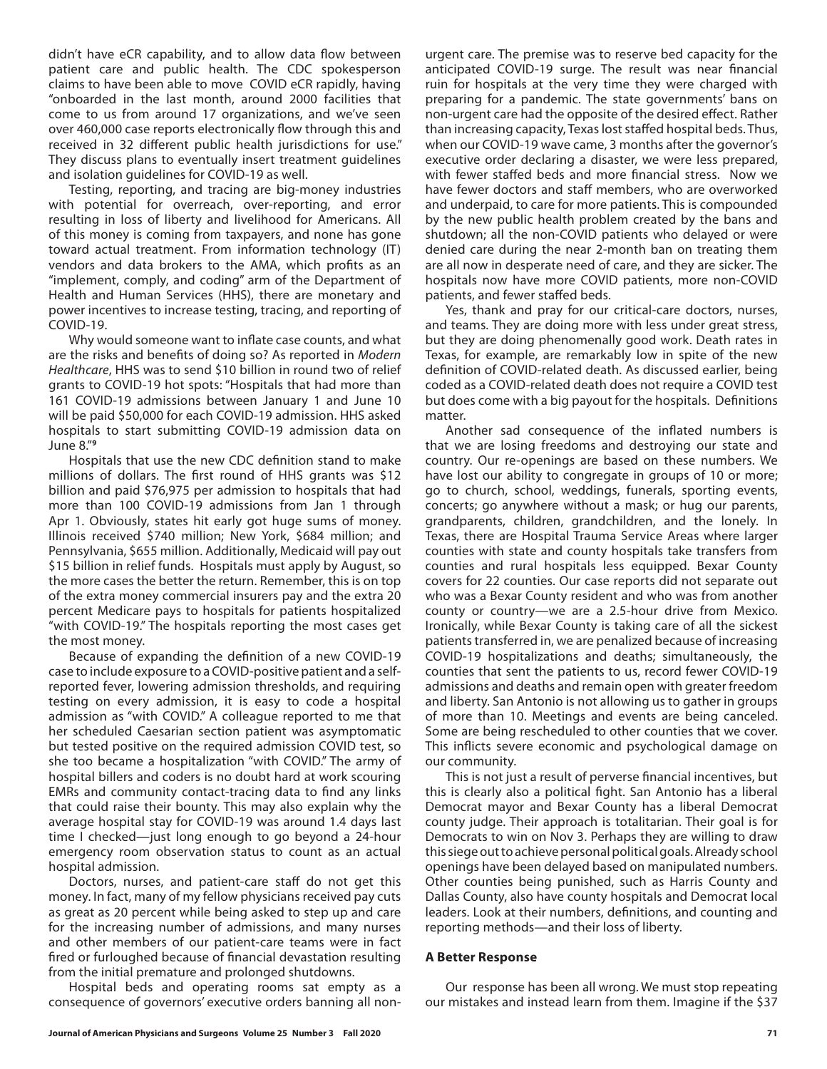didn't have eCR capability, and to allow data flow between patient care and public health. The CDC spokesperson claims to have been able to move COVID eCR rapidly, having "onboarded in the last month, around 2000 facilities that come to us from around 17 organizations, and we've seen over 460,000 case reports electronically flow through this and received in 32 different public health jurisdictions for use." They discuss plans to eventually insert treatment guidelines and isolation guidelines for COVID-19 as well.

Testing, reporting, and tracing are big-money industries with potential for overreach, over-reporting, and error resulting in loss of liberty and livelihood for Americans. All of this money is coming from taxpayers, and none has gone toward actual treatment. From information technology (IT) vendors and data brokers to the AMA, which profits as an "implement, comply, and coding" arm of the Department of Health and Human Services (HHS), there are monetary and power incentives to increase testing, tracing, and reporting of COVID-19.

Why would someone want to inflate case counts, and what are the risks and benefits of doing so? As reported in *Modern Healthcare*, HHS was to send \$10 billion in round two of relief grants to COVID-19 hot spots: "Hospitals that had more than 161 COVID-19 admissions between January 1 and June 10 will be paid \$50,000 for each COVID-19 admission. HHS asked hospitals to start submitting COVID-19 admission data on June 8."**<sup>9</sup>**

Hospitals that use the new CDC definition stand to make millions of dollars. The first round of HHS grants was \$12 billion and paid \$76,975 per admission to hospitals that had more than 100 COVID-19 admissions from Jan 1 through Apr 1. Obviously, states hit early got huge sums of money. Illinois received \$740 million; New York, \$684 million; and Pennsylvania, \$655 million. Additionally, Medicaid will pay out \$15 billion in relief funds. Hospitals must apply by August, so the more cases the better the return. Remember, this is on top of the extra money commercial insurers pay and the extra 20 percent Medicare pays to hospitals for patients hospitalized "with COVID-19." The hospitals reporting the most cases get the most money.

Because of expanding the definition of a new COVID-19 case to include exposure to a COVID-positive patient and a selfreported fever, lowering admission thresholds, and requiring testing on every admission, it is easy to code a hospital admission as "with COVID." A colleague reported to me that her scheduled Caesarian section patient was asymptomatic but tested positive on the required admission COVID test, so she too became a hospitalization "with COVID." The army of hospital billers and coders is no doubt hard at work scouring EMRs and community contact-tracing data to find any links that could raise their bounty. This may also explain why the average hospital stay for COVID-19 was around 1.4 days last time I checked—just long enough to go beyond a 24-hour emergency room observation status to count as an actual hospital admission.

Doctors, nurses, and patient-care staff do not get this money. In fact, many of my fellow physicians received pay cuts as great as 20 percent while being asked to step up and care for the increasing number of admissions, and many nurses and other members of our patient-care teams were in fact fired or furloughed because of financial devastation resulting from the initial premature and prolonged shutdowns.

Hospital beds and operating rooms sat empty as a consequence of governors' executive orders banning all nonurgent care. The premise was to reserve bed capacity for the anticipated COVID-19 surge. The result was near financial ruin for hospitals at the very time they were charged with preparing for a pandemic. The state governments' bans on non-urgent care had the opposite of the desired effect. Rather than increasing capacity, Texas lost staffed hospital beds. Thus, when our COVID-19 wave came, 3 months after the governor's executive order declaring a disaster, we were less prepared, with fewer staffed beds and more financial stress. Now we have fewer doctors and staff members, who are overworked and underpaid, to care for more patients. This is compounded by the new public health problem created by the bans and shutdown; all the non-COVID patients who delayed or were denied care during the near 2-month ban on treating them are all now in desperate need of care, and they are sicker. The hospitals now have more COVID patients, more non-COVID patients, and fewer staffed beds.

Yes, thank and pray for our critical-care doctors, nurses, and teams. They are doing more with less under great stress, but they are doing phenomenally good work. Death rates in Texas, for example, are remarkably low in spite of the new definition of COVID-related death. As discussed earlier, being coded as a COVID-related death does not require a COVID test but does come with a big payout for the hospitals. Definitions matter.

Another sad consequence of the inflated numbers is that we are losing freedoms and destroying our state and country. Our re-openings are based on these numbers. We have lost our ability to congregate in groups of 10 or more; go to church, school, weddings, funerals, sporting events, concerts; go anywhere without a mask; or hug our parents, grandparents, children, grandchildren, and the lonely. In Texas, there are Hospital Trauma Service Areas where larger counties with state and county hospitals take transfers from counties and rural hospitals less equipped. Bexar County covers for 22 counties. Our case reports did not separate out who was a Bexar County resident and who was from another county or country—we are a 2.5-hour drive from Mexico. Ironically, while Bexar County is taking care of all the sickest patients transferred in, we are penalized because of increasing COVID-19 hospitalizations and deaths; simultaneously, the counties that sent the patients to us, record fewer COVID-19 admissions and deaths and remain open with greater freedom and liberty. San Antonio is not allowing us to gather in groups of more than 10. Meetings and events are being canceled. Some are being rescheduled to other counties that we cover. This inflicts severe economic and psychological damage on our community.

This is not just a result of perverse financial incentives, but this is clearly also a political fight. San Antonio has a liberal Democrat mayor and Bexar County has a liberal Democrat county judge. Their approach is totalitarian. Their goal is for Democrats to win on Nov 3. Perhaps they are willing to draw this siege out to achieve personal political goals. Already school openings have been delayed based on manipulated numbers. Other counties being punished, such as Harris County and Dallas County, also have county hospitals and Democrat local leaders. Look at their numbers, definitions, and counting and reporting methods—and their loss of liberty.

### **A Better Response**

Our response has been all wrong. We must stop repeating our mistakes and instead learn from them. Imagine if the \$37